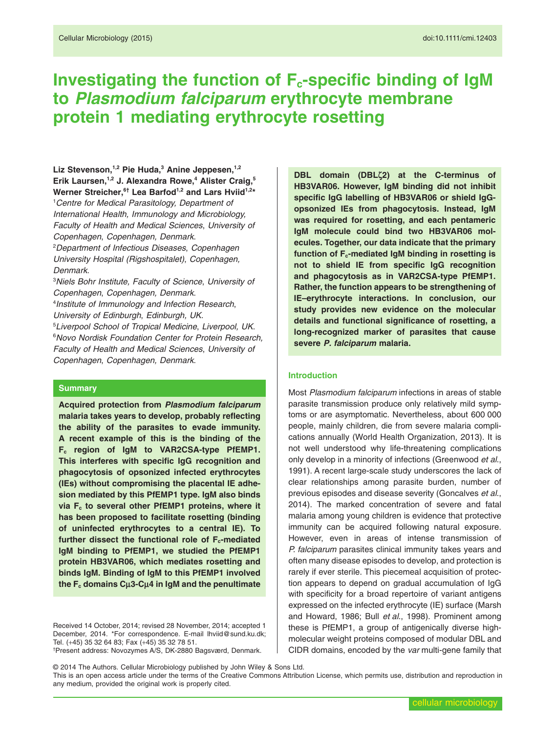# **Investigating the function of F<sub>c</sub>-specific binding of IgM to** *Plasmodium falciparum* **erythrocyte membrane protein 1 mediating erythrocyte rosetting**

Liz Stevenson,<sup>1,2</sup> Pie Huda,<sup>3</sup> Anine Jeppesen,<sup>1,2</sup> **Erik Laursen,1,2 J. Alexandra Rowe,4 Alister Craig,5 Werner Streicher,6† Lea Barfod1,2 and Lars Hviid1,2\***

1 *Centre for Medical Parasitology, Department of International Health, Immunology and Microbiology, Faculty of Health and Medical Sciences*, *University of Copenhagen*, *Copenhagen, Denmark*.

2 *Department of Infectious Diseases*, *Copenhagen University Hospital (Rigshospitalet)*, *Copenhagen, Denmark*.

3 *Niels Bohr Institute, Faculty of Science*, *University of Copenhagen*, *Copenhagen, Denmark*.

4 *Institute of Immunology and Infection Research*, *University of Edinburgh*, *Edinburgh, UK*.

5 *Liverpool School of Tropical Medicine*, *Liverpool, UK*. 6 *Novo Nordisk Foundation Center for Protein Research, Faculty of Health and Medical Sciences*, *University of Copenhagen*, *Copenhagen, Denmark*.

## **Summary**

**Acquired protection from** *Plasmodium falciparum* **malaria takes years to develop, probably reflecting the ability of the parasites to evade immunity. A recent example of this is the binding of the Fc region of IgM to VAR2CSA-type PfEMP1. This interferes with specific IgG recognition and phagocytosis of opsonized infected erythrocytes (IEs) without compromising the placental IE adhesion mediated by this PfEMP1 type. IgM also binds via Fc to several other PfEMP1 proteins, where it has been proposed to facilitate rosetting (binding of uninfected erythrocytes to a central IE). To** further dissect the functional role of F<sub>c</sub>-mediated **IgM binding to PfEMP1, we studied the PfEMP1 protein HB3VAR06, which mediates rosetting and binds IgM. Binding of IgM to this PfEMP1 involved ihe F** $_{\text{c}}$  **domains C** $\mu$ **3-C** $\mu$ **4 in IgM and the penultimate** 

Received 14 October, 2014; revised 28 November, 2014; accepted 1 December, 2014. \*For correspondence. E-mail [lhviid@sund.ku.dk;](mailto:lhviid@sund.ku.dk) Tel. (+45) 35 32 64 83; Fax (+45) 35 32 78 51. † Present address: Novozymes A/S, DK-2880 Bagsværd, Denmark.

**DBL domain (DBLζ2) at the C-terminus of HB3VAR06. However, IgM binding did not inhibit specific IgG labelling of HB3VAR06 or shield IgGopsonized IEs from phagocytosis. Instead, IgM was required for rosetting, and each pentameric IgM molecule could bind two HB3VAR06 molecules. Together, our data indicate that the primary** function of F<sub>c</sub>-mediated IgM binding in rosetting is **not to shield IE from specific IgG recognition and phagocytosis as in VAR2CSA-type PfEMP1. Rather, the function appears to be strengthening of IE–erythrocyte interactions. In conclusion, our study provides new evidence on the molecular details and functional significance of rosetting, a long-recognized marker of parasites that cause severe** *P. falciparum* **malaria.**

## **Introduction**

Most *Plasmodium falciparum* infections in areas of stable parasite transmission produce only relatively mild symptoms or are asymptomatic. Nevertheless, about 600 000 people, mainly children, die from severe malaria complications annually (World Health Organization, 2013). It is not well understood why life-threatening complications only develop in a minority of infections (Greenwood *et al*., 1991). A recent large-scale study underscores the lack of clear relationships among parasite burden, number of previous episodes and disease severity (Goncalves *et al*., 2014). The marked concentration of severe and fatal malaria among young children is evidence that protective immunity can be acquired following natural exposure. However, even in areas of intense transmission of *P. falciparum* parasites clinical immunity takes years and often many disease episodes to develop, and protection is rarely if ever sterile. This piecemeal acquisition of protection appears to depend on gradual accumulation of IgG with specificity for a broad repertoire of variant antigens expressed on the infected erythrocyte (IE) surface (Marsh and Howard, 1986; Bull *et al*., 1998). Prominent among these is PfEMP1, a group of antigenically diverse highmolecular weight proteins composed of modular DBL and CIDR domains, encoded by the *var* multi-gene family that

© 2014 The Authors. Cellular Microbiology published by John Wiley & Sons Ltd. This is an open access article under the terms of the [Creative Commons Attribution](http://creativecommons.org/licenses/by/4.0/) License, which permits use, distribution and reproduction in any medium, provided the original work is properly cited.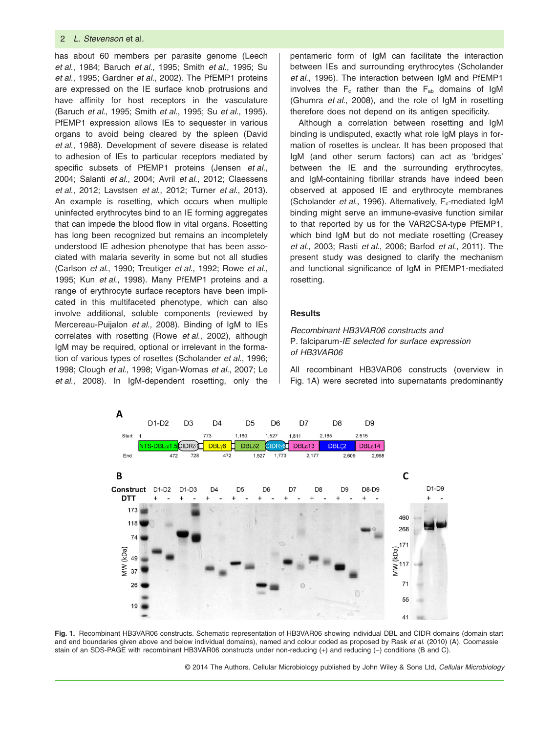has about 60 members per parasite genome (Leech *et al*., 1984; Baruch *et al*., 1995; Smith *et al*., 1995; Su *et al*., 1995; Gardner *et al*., 2002). The PfEMP1 proteins are expressed on the IE surface knob protrusions and have affinity for host receptors in the vasculature (Baruch *et al*., 1995; Smith *et al*., 1995; Su *et al*., 1995). PfEMP1 expression allows IEs to sequester in various organs to avoid being cleared by the spleen (David *et al*., 1988). Development of severe disease is related to adhesion of IEs to particular receptors mediated by specific subsets of PfEMP1 proteins (Jensen *et al*., 2004; Salanti *et al*., 2004; Avril *et al*., 2012; Claessens *et al*., 2012; Lavstsen *et al*., 2012; Turner *et al*., 2013). An example is rosetting, which occurs when multiple uninfected erythrocytes bind to an IE forming aggregates that can impede the blood flow in vital organs. Rosetting has long been recognized but remains an incompletely understood IE adhesion phenotype that has been associated with malaria severity in some but not all studies (Carlson *et al*., 1990; Treutiger *et al*., 1992; Rowe *et al*., 1995; Kun *et al*., 1998). Many PfEMP1 proteins and a range of erythrocyte surface receptors have been implicated in this multifaceted phenotype, which can also involve additional, soluble components (reviewed by Mercereau-Puijalon *et al*., 2008). Binding of IgM to IEs correlates with rosetting (Rowe *et al*., 2002), although IgM may be required, optional or irrelevant in the formation of various types of rosettes (Scholander *et al*., 1996; 1998; Clough *et al*., 1998; Vigan-Womas *et al*., 2007; Le *et al*., 2008). In IgM-dependent rosetting, only the

pentameric form of IgM can facilitate the interaction between IEs and surrounding erythrocytes (Scholander *et al*., 1996). The interaction between IgM and PfEMP1 involves the  $F_c$  rather than the  $F_{ab}$  domains of IgM (Ghumra *et al*., 2008), and the role of IgM in rosetting therefore does not depend on its antigen specificity.

Although a correlation between rosetting and IgM binding is undisputed, exactly what role IgM plays in formation of rosettes is unclear. It has been proposed that IgM (and other serum factors) can act as 'bridges' between the IE and the surrounding erythrocytes, and IgM-containing fibrillar strands have indeed been observed at apposed IE and erythrocyte membranes (Scholander et al., 1996). Alternatively, F<sub>c</sub>-mediated IgM binding might serve an immune-evasive function similar to that reported by us for the VAR2CSA-type PfEMP1, which bind IgM but do not mediate rosetting (Creasey *et al*., 2003; Rasti *et al*., 2006; Barfod *et al*., 2011). The present study was designed to clarify the mechanism and functional significance of IgM in PfEMP1-mediated rosetting.

## **Results**

*Recombinant HB3VAR06 constructs and* P. falciparum*-IE selected for surface expression of HB3VAR06*

All recombinant HB3VAR06 constructs (overview in Fig. 1A) were secreted into supernatants predominantly



**Fig. 1.** Recombinant HB3VAR06 constructs. Schematic representation of HB3VAR06 showing individual DBL and CIDR domains (domain start and end boundaries given above and below individual domains), named and colour coded as proposed by Rask *et al*. (2010) (A). Coomassie stain of an SDS-PAGE with recombinant HB3VAR06 constructs under non-reducing (+) and reducing (−) conditions (B and C).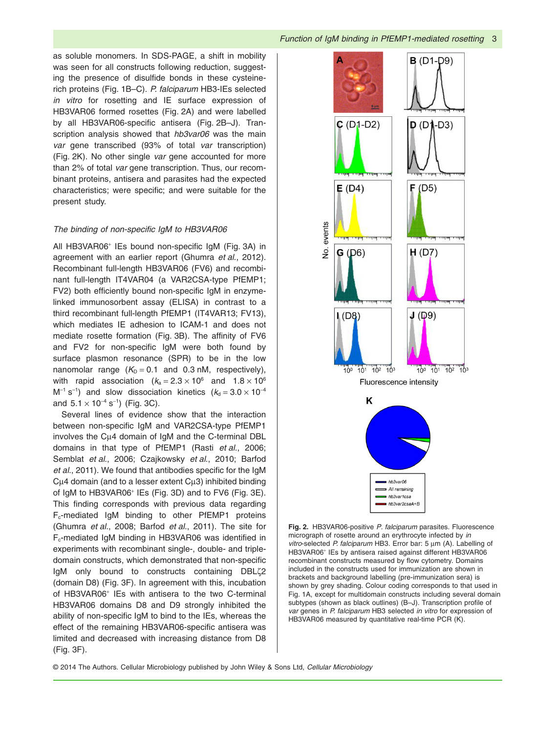as soluble monomers. In SDS-PAGE, a shift in mobility was seen for all constructs following reduction, suggesting the presence of disulfide bonds in these cysteinerich proteins (Fig. 1B–C). *P. falciparum* HB3-IEs selected *in vitro* for rosetting and IE surface expression of HB3VAR06 formed rosettes (Fig. 2A) and were labelled by all HB3VAR06-specific antisera (Fig. 2B–J). Transcription analysis showed that *hb3var06* was the main *var* gene transcribed (93% of total *var* transcription) (Fig. 2K). No other single *var* gene accounted for more than 2% of total *var* gene transcription. Thus, our recombinant proteins, antisera and parasites had the expected characteristics; were specific; and were suitable for the present study.

## *The binding of non-specific IgM to HB3VAR06*

All HB3VAR06<sup>+</sup> IEs bound non-specific IgM (Fig. 3A) in agreement with an earlier report (Ghumra *et al*., 2012). Recombinant full-length HB3VAR06 (FV6) and recombinant full-length IT4VAR04 (a VAR2CSA-type PfEMP1; FV2) both efficiently bound non-specific IgM in enzymelinked immunosorbent assay (ELISA) in contrast to a third recombinant full-length PfEMP1 (IT4VAR13; FV13), which mediates IE adhesion to ICAM-1 and does not mediate rosette formation (Fig. 3B). The affinity of FV6 and FV2 for non-specific IgM were both found by surface plasmon resonance (SPR) to be in the low nanomolar range  $(K_D = 0.1$  and 0.3 nM, respectively), with rapid association  $(k_a = 2.3 \times 10^6$  and  $1.8 \times 10^6$ M<sup>-1</sup> s<sup>-1</sup>) and slow dissociation kinetics ( $k<sub>d</sub> = 3.0 \times 10^{-4}$ and  $5.1 \times 10^{-4}$  s<sup>-1</sup>) (Fig. 3C).

Several lines of evidence show that the interaction between non-specific IgM and VAR2CSA-type PfEMP1 involves the Cμ4 domain of IgM and the C-terminal DBL domains in that type of PfEMP1 (Rasti *et al*., 2006; Semblat *et al*., 2006; Czajkowsky *et al*., 2010; Barfod *et al*., 2011). We found that antibodies specific for the IgM  $Cu4$  domain (and to a lesser extent  $Cu3$ ) inhibited binding of IgM to HB3VAR06<sup>+</sup> IEs (Fig. 3D) and to FV6 (Fig. 3E). This finding corresponds with previous data regarding Fc-mediated IgM binding to other PfEMP1 proteins (Ghumra *et al*., 2008; Barfod *et al*., 2011). The site for Fc-mediated IgM binding in HB3VAR06 was identified in experiments with recombinant single-, double- and tripledomain constructs, which demonstrated that non-specific IgM only bound to constructs containing DBLζ2 (domain D8) (Fig. 3F). In agreement with this, incubation of HB3VAR06<sup>+</sup> IEs with antisera to the two C-terminal HB3VAR06 domains D8 and D9 strongly inhibited the ability of non-specific IgM to bind to the IEs, whereas the effect of the remaining HB3VAR06-specific antisera was limited and decreased with increasing distance from D8 (Fig. 3F).



**Fig. 2.** HB3VAR06-positive *P. falciparum* parasites. Fluorescence micrograph of rosette around an erythrocyte infected by *in vitro*-selected *P. falciparum* HB3. Error bar: 5 μm (A). Labelling of HB3VAR06<sup>+</sup> IEs by antisera raised against different HB3VAR06 recombinant constructs measured by flow cytometry. Domains included in the constructs used for immunization are shown in brackets and background labelling (pre-immunization sera) is shown by grey shading. Colour coding corresponds to that used in Fig. 1A, except for multidomain constructs including several domain subtypes (shown as black outlines) (B–J). Transcription profile of *var* genes in *P. falciparum* HB3 selected *in vitro* for expression of HB3VAR06 measured by quantitative real-time PCR (K).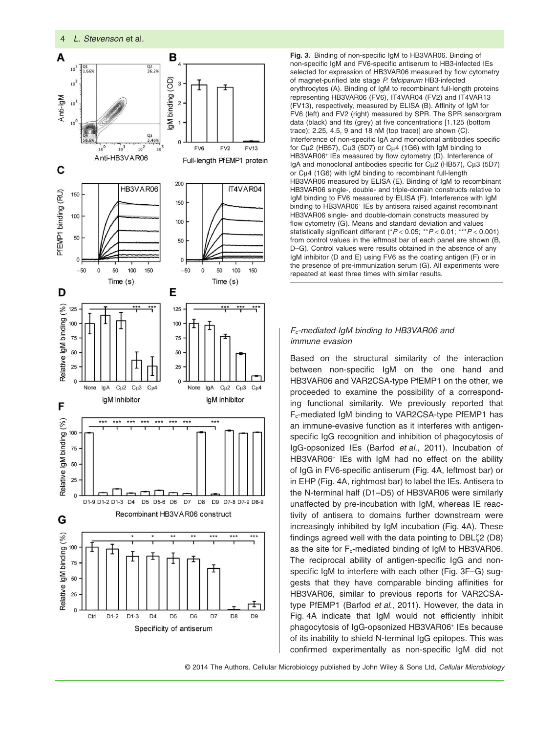

**Fig. 3.** Binding of non-specific IgM to HB3VAR06. Binding of non-specific IgM and FV6-specific antiserum to HB3-infected IEs selected for expression of HB3VAR06 measured by flow cytometry of magnet-purified late stage *P. falciparum* HB3-infected erythrocytes (A). Binding of IgM to recombinant full-length proteins representing HB3VAR06 (FV6), IT4VAR04 (FV2) and IT4VAR13 (FV13), respectively, measured by ELISA (B). Affinity of IgM for FV6 (left) and FV2 (right) measured by SPR. The SPR sensorgram data (black) and fits (grey) at five concentrations [1.125 (bottom trace); 2.25, 4.5, 9 and 18 nM (top trace)] are shown (C). Interference of non-specific IgA and monoclonal antibodies specific for Cμ2 (HB57), Cμ3 (5D7) or Cμ4 (1G6) with IgM binding to HB3VAR06<sup>+</sup> IEs measured by flow cytometry (D). Interference of IgA and monoclonal antibodies specific for Cμ2 (HB57), Cμ3 (5D7) or Cμ4 (1G6) with IgM binding to recombinant full-length HB3VAR06 measured by ELISA (E). Binding of IgM to recombinant HB3VAR06 single-, double- and triple-domain constructs relative to IgM binding to FV6 measured by ELISA (F). Interference with IgM binding to HB3VAR06<sup>+</sup> IEs by antisera raised against recombinant HB3VAR06 single- and double-domain constructs measured by flow cytometry (G). Means and standard deviation and values statistically significant different (\**P* < 0.05; \*\**P* < 0.01; \*\*\**P* < 0.001) from control values in the leftmost bar of each panel are shown (B, D–G). Control values were results obtained in the absence of any IgM inhibitor (D and E) using FV6 as the coating antigen (F) or in the presence of pre-immunization serum (G). All experiments were repeated at least three times with similar results.

## *Fc-mediated IgM binding to HB3VAR06 and immune evasion*

Based on the structural similarity of the interaction between non-specific IgM on the one hand and HB3VAR06 and VAR2CSA-type PfEMP1 on the other, we proceeded to examine the possibility of a corresponding functional similarity. We previously reported that Fc-mediated IgM binding to VAR2CSA-type PfEMP1 has an immune-evasive function as it interferes with antigenspecific IgG recognition and inhibition of phagocytosis of IgG-opsonized IEs (Barfod *et al*., 2011). Incubation of HB3VAR06<sup>+</sup> IEs with IgM had no effect on the ability of IgG in FV6-specific antiserum (Fig. 4A, leftmost bar) or in EHP (Fig. 4A, rightmost bar) to label the IEs. Antisera to the N-terminal half (D1–D5) of HB3VAR06 were similarly unaffected by pre-incubation with IgM, whereas IE reactivity of antisera to domains further downstream were increasingly inhibited by IgM incubation (Fig. 4A). These findings agreed well with the data pointing to DBLζ2 (D8) as the site for  $F_c$ -mediated binding of IgM to HB3VAR06. The reciprocal ability of antigen-specific IgG and nonspecific IgM to interfere with each other (Fig. 3F–G) suggests that they have comparable binding affinities for HB3VAR06, similar to previous reports for VAR2CSAtype PfEMP1 (Barfod *et al*., 2011). However, the data in Fig. 4A indicate that IgM would not efficiently inhibit phagocytosis of IgG-opsonized HB3VAR06<sup>+</sup> IEs because of its inability to shield N-terminal IgG epitopes. This was confirmed experimentally as non-specific IgM did not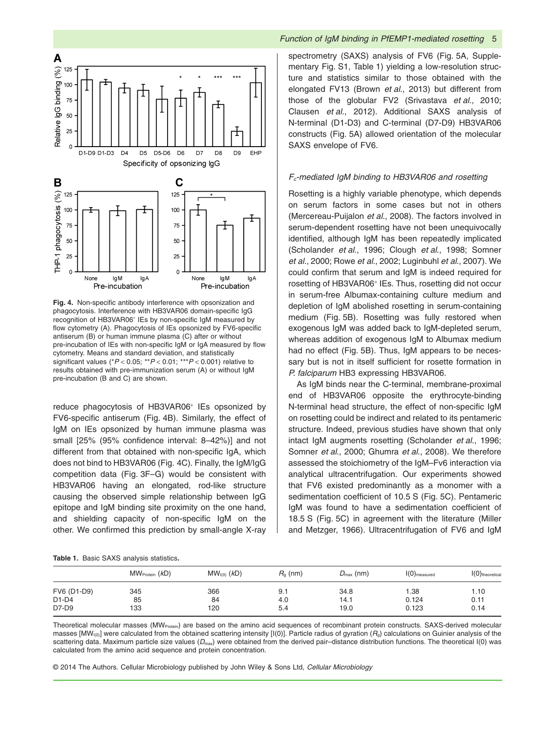

**Fig. 4.** Non-specific antibody interference with opsonization and phagocytosis. Interference with HB3VAR06 domain-specific IgG recognition of HB3VAR06<sup>+</sup> IEs by non-specific IgM measured by flow cytometry (A). Phagocytosis of IEs opsonized by FV6-specific antiserum (B) or human immune plasma (C) after or without pre-incubation of IEs with non-specific IgM or IgA measured by flow cytometry. Means and standard deviation, and statistically significant values (\**P* < 0.05; \*\**P* < 0.01; \*\*\**P* < 0.001) relative to results obtained with pre-immunization serum (A) or without IgM pre-incubation (B and C) are shown.

reduce phagocytosis of HB3VAR06<sup>+</sup> IEs opsonized by FV6-specific antiserum (Fig. 4B). Similarly, the effect of IgM on IEs opsonized by human immune plasma was small [25% (95% confidence interval: 8–42%)] and not different from that obtained with non-specific IgA, which does not bind to HB3VAR06 (Fig. 4C). Finally, the IgM/IgG competition data (Fig. 3F–G) would be consistent with HB3VAR06 having an elongated, rod-like structure causing the observed simple relationship between IgG epitope and IgM binding site proximity on the one hand, and shielding capacity of non-specific IgM on the other. We confirmed this prediction by small-angle X-ray

|  |  | Function of IgM binding in PfEMP1-mediated rosetting 5 |  |
|--|--|--------------------------------------------------------|--|
|  |  |                                                        |  |

spectrometry (SAXS) analysis of FV6 (Fig. 5A, Supplementary Fig. S1, Table 1) yielding a low-resolution structure and statistics similar to those obtained with the elongated FV13 (Brown *et al*., 2013) but different from those of the globular FV2 (Srivastava *et al*., 2010; Clausen *et al*., 2012). Additional SAXS analysis of N-terminal (D1-D3) and C-terminal (D7-D9) HB3VAR06 constructs (Fig. 5A) allowed orientation of the molecular SAXS envelope of FV6.

## *Fc-mediated IgM binding to HB3VAR06 and rosetting*

Rosetting is a highly variable phenotype, which depends on serum factors in some cases but not in others (Mercereau-Puijalon *et al*., 2008). The factors involved in serum-dependent rosetting have not been unequivocally identified, although IgM has been repeatedly implicated (Scholander *et al*., 1996; Clough *et al*., 1998; Somner *et al*., 2000; Rowe *et al*., 2002; Luginbuhl *et al*., 2007). We could confirm that serum and IgM is indeed required for rosetting of HB3VAR06<sup>+</sup> IEs. Thus, rosetting did not occur in serum-free Albumax-containing culture medium and depletion of IgM abolished rosetting in serum-containing medium (Fig. 5B). Rosetting was fully restored when exogenous IgM was added back to IgM-depleted serum, whereas addition of exogenous IgM to Albumax medium had no effect (Fig. 5B). Thus, IgM appears to be necessary but is not in itself sufficient for rosette formation in *P. falciparum* HB3 expressing HB3VAR06.

As IgM binds near the C-terminal, membrane-proximal end of HB3VAR06 opposite the erythrocyte-binding N-terminal head structure, the effect of non-specific IgM on rosetting could be indirect and related to its pentameric structure. Indeed, previous studies have shown that only intact IgM augments rosetting (Scholander *et al*., 1996; Somner *et al*., 2000; Ghumra *et al*., 2008). We therefore assessed the stoichiometry of the IgM–Fv6 interaction via analytical ultracentrifugation. Our experiments showed that FV6 existed predominantly as a monomer with a sedimentation coefficient of 10.5 S (Fig. 5C). Pentameric IgM was found to have a sedimentation coefficient of 18.5 S (Fig. 5C) in agreement with the literature (Miller and Metzger, 1966). Ultracentrifugation of FV6 and IgM

|  |  | Table 1. Basic SAXS analysis statistics. |
|--|--|------------------------------------------|
|  |  |                                          |

|             | $MW_{Protein}$ ( $kD$ ) | $MWI(0)$ (kD) | $R_a$ (nm) | $D_{\text{max}}$ (nm) | $I(0)$ <sub>measured</sub> | $I(0)$ theoretical |
|-------------|-------------------------|---------------|------------|-----------------------|----------------------------|--------------------|
| FV6 (D1-D9) | 345                     | 366           | 9.1        | 34.8                  | 1.38                       | 1.10               |
| D1-D4       | 85                      | 84            | 4.0        | 14.1                  | 0.124                      | 0.11               |
| D7-D9       | 133                     | 120           | 5.4        | 19.0                  | 0.123                      | 0.14               |

Theoretical molecular masses (MW<sub>Protein</sub>) are based on the amino acid sequences of recombinant protein constructs. SAXS-derived molecular masses [MW<sub>I(0)</sub>] were calculated from the obtained scattering intensity [I(0)]. Particle radius of gyration ( $R_g$ ) calculations on Guinier analysis of the scattering data. Maximum particle size values (D<sub>max</sub>) were obtained from the derived pair–distance distribution functions. The theoretical I(0) was calculated from the amino acid sequence and protein concentration.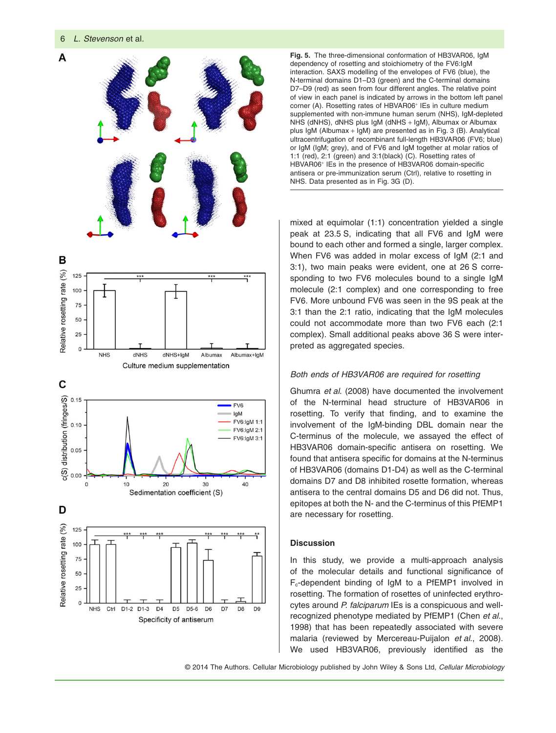

**Fig. 5.** The three-dimensional conformation of HB3VAR06, IgM dependency of rosetting and stoichiometry of the FV6:IgM interaction. SAXS modelling of the envelopes of FV6 (blue), the N-terminal domains D1–D3 (green) and the C-terminal domains D7–D9 (red) as seen from four different angles. The relative point of view in each panel is indicated by arrows in the bottom left panel corner (A). Rosetting rates of HBVAR06<sup>+</sup> IEs in culture medium supplemented with non-immune human serum (NHS), IgM-depleted NHS (dNHS), dNHS plus IgM (dNHS + IgM), Albumax or Albumax plus IgM (Albumax + IgM) are presented as in Fig. 3 (B). Analytical ultracentrifugation of recombinant full-length HB3VAR06 (FV6; blue) or IgM (IgM; grey), and of FV6 and IgM together at molar ratios of 1:1 (red), 2:1 (green) and 3:1(black) (C). Rosetting rates of HBVAR06<sup>+</sup> IEs in the presence of HB3VAR06 domain-specific antisera or pre-immunization serum (Ctrl), relative to rosetting in NHS. Data presented as in Fig. 3G (D).

mixed at equimolar (1:1) concentration yielded a single peak at 23.5 S, indicating that all FV6 and IgM were bound to each other and formed a single, larger complex. When FV6 was added in molar excess of IgM (2:1 and 3:1), two main peaks were evident, one at 26 S corresponding to two FV6 molecules bound to a single IgM molecule (2:1 complex) and one corresponding to free FV6. More unbound FV6 was seen in the 9S peak at the 3:1 than the 2:1 ratio, indicating that the IgM molecules could not accommodate more than two FV6 each (2:1 complex). Small additional peaks above 36 S were interpreted as aggregated species.

## *Both ends of HB3VAR06 are required for rosetting*

Ghumra *et al*. (2008) have documented the involvement of the N-terminal head structure of HB3VAR06 in rosetting. To verify that finding, and to examine the involvement of the IgM-binding DBL domain near the C-terminus of the molecule, we assayed the effect of HB3VAR06 domain-specific antisera on rosetting. We found that antisera specific for domains at the N-terminus of HB3VAR06 (domains D1-D4) as well as the C-terminal domains D7 and D8 inhibited rosette formation, whereas antisera to the central domains D5 and D6 did not. Thus, epitopes at both the N- and the C-terminus of this PfEMP1 are necessary for rosetting.

## **Discussion**

In this study, we provide a multi-approach analysis of the molecular details and functional significance of Fc-dependent binding of IgM to a PfEMP1 involved in rosetting. The formation of rosettes of uninfected erythrocytes around *P. falciparum* IEs is a conspicuous and wellrecognized phenotype mediated by PfEMP1 (Chen *et al*., 1998) that has been repeatedly associated with severe malaria (reviewed by Mercereau-Puijalon *et al*., 2008). We used HB3VAR06, previously identified as the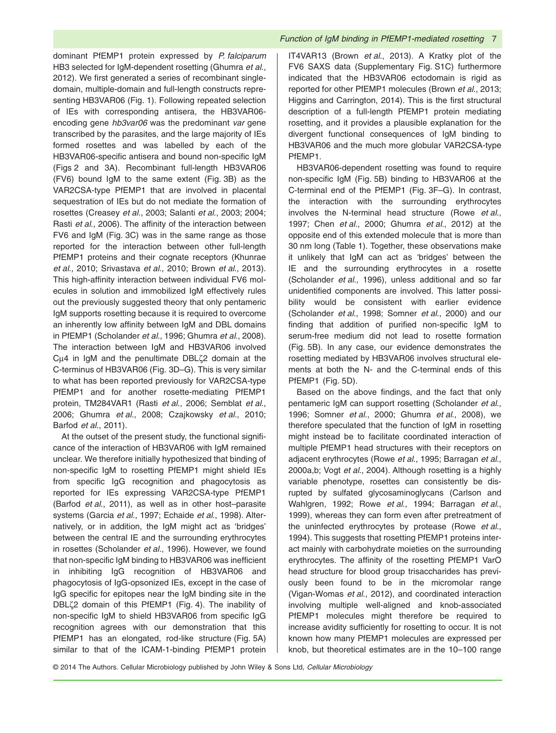dominant PfEMP1 protein expressed by *P. falciparum* HB3 selected for IgM-dependent rosetting (Ghumra *et al*., 2012). We first generated a series of recombinant singledomain, multiple-domain and full-length constructs representing HB3VAR06 (Fig. 1). Following repeated selection of IEs with corresponding antisera, the HB3VAR06 encoding gene *hb3var06* was the predominant *var* gene transcribed by the parasites, and the large majority of IEs formed rosettes and was labelled by each of the HB3VAR06-specific antisera and bound non-specific IgM (Figs 2 and 3A). Recombinant full-length HB3VAR06 (FV6) bound IgM to the same extent (Fig. 3B) as the VAR2CSA-type PfEMP1 that are involved in placental sequestration of IEs but do not mediate the formation of rosettes (Creasey *et al*., 2003; Salanti *et al*., 2003; 2004; Rasti *et al*., 2006). The affinity of the interaction between FV6 and IgM (Fig. 3C) was in the same range as those reported for the interaction between other full-length PfEMP1 proteins and their cognate receptors (Khunrae *et al*., 2010; Srivastava *et al*., 2010; Brown *et al*., 2013). This high-affinity interaction between individual FV6 molecules in solution and immobilized IgM effectively rules out the previously suggested theory that only pentameric IgM supports rosetting because it is required to overcome an inherently low affinity between IgM and DBL domains in PfEMP1 (Scholander *et al*., 1996; Ghumra *et al*., 2008). The interaction between IgM and HB3VAR06 involved Cμ4 in IgM and the penultimate DBLζ2 domain at the C-terminus of HB3VAR06 (Fig. 3D–G). This is very similar to what has been reported previously for VAR2CSA-type PfEMP1 and for another rosette-mediating PfEMP1 protein, TM284VAR1 (Rasti *et al*., 2006; Semblat *et al*., 2006; Ghumra *et al*., 2008; Czajkowsky *et al*., 2010; Barfod *et al*., 2011).

At the outset of the present study, the functional significance of the interaction of HB3VAR06 with IgM remained unclear. We therefore initially hypothesized that binding of non-specific IgM to rosetting PfEMP1 might shield IEs from specific IgG recognition and phagocytosis as reported for IEs expressing VAR2CSA-type PfEMP1 (Barfod *et al*., 2011), as well as in other host–parasite systems (Garcia *et al*., 1997; Echaide *et al*., 1998). Alternatively, or in addition, the IgM might act as 'bridges' between the central IE and the surrounding erythrocytes in rosettes (Scholander *et al*., 1996). However, we found that non-specific IgM binding to HB3VAR06 was inefficient in inhibiting IgG recognition of HB3VAR06 and phagocytosis of IgG-opsonized IEs, except in the case of IgG specific for epitopes near the IgM binding site in the DBLζ2 domain of this PfEMP1 (Fig. 4). The inability of non-specific IgM to shield HB3VAR06 from specific IgG recognition agrees with our demonstration that this PfEMP1 has an elongated, rod-like structure (Fig. 5A) similar to that of the ICAM-1-binding PfEMP1 protein

IT4VAR13 (Brown *et al*., 2013). A Kratky plot of the FV6 SAXS data (Supplementary Fig. S1C) furthermore indicated that the HB3VAR06 ectodomain is rigid as reported for other PfEMP1 molecules (Brown *et al*., 2013; Higgins and Carrington, 2014). This is the first structural description of a full-length PfEMP1 protein mediating rosetting, and it provides a plausible explanation for the divergent functional consequences of IgM binding to HB3VAR06 and the much more globular VAR2CSA-type PfEMP1.

HB3VAR06-dependent rosetting was found to require non-specific IgM (Fig. 5B) binding to HB3VAR06 at the C-terminal end of the PfEMP1 (Fig. 3F–G). In contrast, the interaction with the surrounding erythrocytes involves the N-terminal head structure (Rowe *et al*., 1997; Chen *et al*., 2000; Ghumra *et al*., 2012) at the opposite end of this extended molecule that is more than 30 nm long (Table 1). Together, these observations make it unlikely that IgM can act as 'bridges' between the IE and the surrounding erythrocytes in a rosette (Scholander *et al*., 1996), unless additional and so far unidentified components are involved. This latter possibility would be consistent with earlier evidence (Scholander *et al*., 1998; Somner *et al*., 2000) and our finding that addition of purified non-specific IgM to serum-free medium did not lead to rosette formation (Fig. 5B). In any case, our evidence demonstrates the rosetting mediated by HB3VAR06 involves structural elements at both the N- and the C-terminal ends of this PfEMP1 (Fig. 5D).

Based on the above findings, and the fact that only pentameric IgM can support rosetting (Scholander *et al*., 1996; Somner *et al*., 2000; Ghumra *et al*., 2008), we therefore speculated that the function of IgM in rosetting might instead be to facilitate coordinated interaction of multiple PfEMP1 head structures with their receptors on adjacent erythrocytes (Rowe *et al*., 1995; Barragan *et al*., 2000a,b; Vogt *et al*., 2004). Although rosetting is a highly variable phenotype, rosettes can consistently be disrupted by sulfated glycosaminoglycans (Carlson and Wahlgren, 1992; Rowe *et al*., 1994; Barragan *et al*., 1999), whereas they can form even after pretreatment of the uninfected erythrocytes by protease (Rowe *et al*., 1994). This suggests that rosetting PfEMP1 proteins interact mainly with carbohydrate moieties on the surrounding erythrocytes. The affinity of the rosetting PfEMP1 VarO head structure for blood group trisaccharides has previously been found to be in the micromolar range (Vigan-Womas *et al*., 2012), and coordinated interaction involving multiple well-aligned and knob-associated PfEMP1 molecules might therefore be required to increase avidity sufficiently for rosetting to occur. It is not known how many PfEMP1 molecules are expressed per knob, but theoretical estimates are in the 10–100 range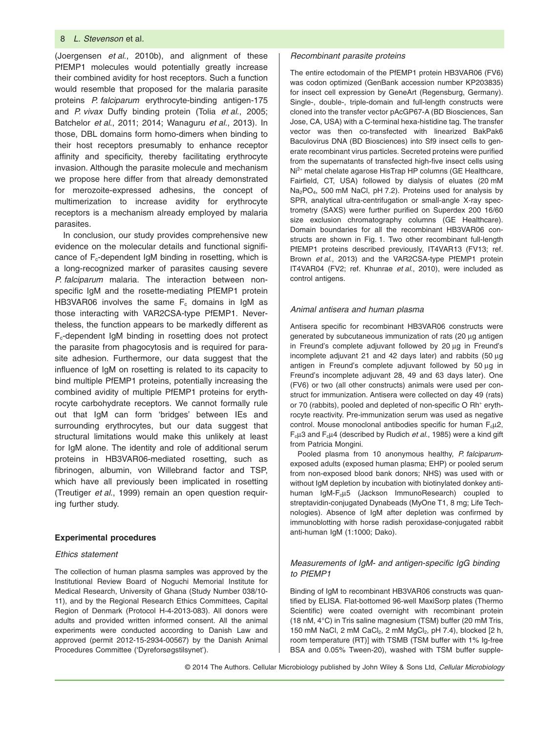(Joergensen *et al*., 2010b), and alignment of these PfEMP1 molecules would potentially greatly increase their combined avidity for host receptors. Such a function would resemble that proposed for the malaria parasite proteins *P. falciparum* erythrocyte-binding antigen-175 and *P. vivax* Duffy binding protein (Tolia *et al*., 2005; Batchelor *et al*., 2011; 2014; Wanaguru *et al*., 2013). In those, DBL domains form homo-dimers when binding to their host receptors presumably to enhance receptor affinity and specificity, thereby facilitating erythrocyte invasion. Although the parasite molecule and mechanism we propose here differ from that already demonstrated for merozoite-expressed adhesins, the concept of multimerization to increase avidity for erythrocyte receptors is a mechanism already employed by malaria parasites.

In conclusion, our study provides comprehensive new evidence on the molecular details and functional significance of  $F_c$ -dependent IgM binding in rosetting, which is a long-recognized marker of parasites causing severe *P. falciparum* malaria. The interaction between nonspecific IgM and the rosette-mediating PfEMP1 protein HB3VAR06 involves the same  $F_c$  domains in IgM as those interacting with VAR2CSA-type PfEMP1. Nevertheless, the function appears to be markedly different as  $F_c$ -dependent IgM binding in rosetting does not protect the parasite from phagocytosis and is required for parasite adhesion. Furthermore, our data suggest that the influence of IgM on rosetting is related to its capacity to bind multiple PfEMP1 proteins, potentially increasing the combined avidity of multiple PfEMP1 proteins for erythrocyte carbohydrate receptors. We cannot formally rule out that IgM can form 'bridges' between IEs and surrounding erythrocytes, but our data suggest that structural limitations would make this unlikely at least for IgM alone. The identity and role of additional serum proteins in HB3VAR06-mediated rosetting, such as fibrinogen, albumin, von Willebrand factor and TSP, which have all previously been implicated in rosetting (Treutiger *et al*., 1999) remain an open question requiring further study.

#### **Experimental procedures**

## *Ethics statement*

The collection of human plasma samples was approved by the Institutional Review Board of Noguchi Memorial Institute for Medical Research, University of Ghana (Study Number 038/10- 11), and by the Regional Research Ethics Committees, Capital Region of Denmark (Protocol H-4-2013-083). All donors were adults and provided written informed consent. All the animal experiments were conducted according to Danish Law and approved (permit 2012-15-2934-00567) by the Danish Animal Procedures Committee ('Dyreforsøgstilsynet').

#### *Recombinant parasite proteins*

The entire ectodomain of the PfEMP1 protein HB3VAR06 (FV6) was codon optimized (GenBank accession number KP203835) for insect cell expression by GeneArt (Regensburg, Germany). Single-, double-, triple-domain and full-length constructs were cloned into the transfer vector pAcGP67-A (BD Biosciences, San Jose, CA, USA) with a C-terminal hexa-histidine tag. The transfer vector was then co-transfected with linearized BakPak6 Baculovirus DNA (BD Biosciences) into Sf9 insect cells to generate recombinant virus particles. Secreted proteins were purified from the supernatants of transfected high-five insect cells using Ni<sup>2+</sup> metal chelate agarose HisTrap HP columns (GE Healthcare, Fairfield, CT, USA) followed by dialysis of eluates (20 mM Na<sub>2</sub>PO<sub>4</sub>, 500 mM NaCl, pH 7.2). Proteins used for analysis by SPR, analytical ultra-centrifugation or small-angle X-ray spectrometry (SAXS) were further purified on Superdex 200 16/60 size exclusion chromatography columns (GE Healthcare). Domain boundaries for all the recombinant HB3VAR06 constructs are shown in Fig. 1. Two other recombinant full-length PfEMP1 proteins described previously, IT4VAR13 (FV13; ref. Brown *et al*., 2013) and the VAR2CSA-type PfEMP1 protein IT4VAR04 (FV2; ref. Khunrae *et al*., 2010), were included as control antigens.

#### *Animal antisera and human plasma*

Antisera specific for recombinant HB3VAR06 constructs were generated by subcutaneous immunization of rats (20 μg antigen in Freund's complete adjuvant followed by 20 μg in Freund's incomplete adjuvant 21 and 42 days later) and rabbits (50 μg antigen in Freund's complete adjuvant followed by 50 μg in Freund's incomplete adjuvant 28, 49 and 63 days later). One (FV6) or two (all other constructs) animals were used per construct for immunization. Antisera were collected on day 49 (rats) or 70 (rabbits), pooled and depleted of non-specific O Rh<sup>+</sup> erythrocyte reactivity. Pre-immunization serum was used as negative control. Mouse monoclonal antibodies specific for human  $F<sub>c</sub> \mu$ 2, Fcμ3 and Fcμ4 (described by Rudich *et al*., 1985) were a kind gift from Patricia Mongini.

Pooled plasma from 10 anonymous healthy, *P. falciparum*exposed adults (exposed human plasma; EHP) or pooled serum from non-exposed blood bank donors; NHS) was used with or without IgM depletion by incubation with biotinylated donkey antihuman IgM-F<sub>cμ</sub>5 (Jackson ImmunoResearch) coupled to streptavidin-conjugated Dynabeads (MyOne T1, 8 mg; Life Technologies). Absence of IgM after depletion was confirmed by immunoblotting with horse radish peroxidase-conjugated rabbit anti-human IgM (1:1000; Dako).

## *Measurements of IgM- and antigen-specific IgG binding to PfEMP1*

Binding of IgM to recombinant HB3VAR06 constructs was quantified by ELISA. Flat-bottomed 96-well MaxiSorp plates (Thermo Scientific) were coated overnight with recombinant protein (18 nM, 4°C) in Tris saline magnesium (TSM) buffer (20 mM Tris, 150 mM NaCl, 2 mM CaCl<sub>2</sub>, 2 mM MgCl<sub>2</sub>, pH 7.4), blocked [2 h, room temperature (RT)] with TSMB (TSM buffer with 1% Ig-free BSA and 0.05% Tween-20), washed with TSM buffer supple-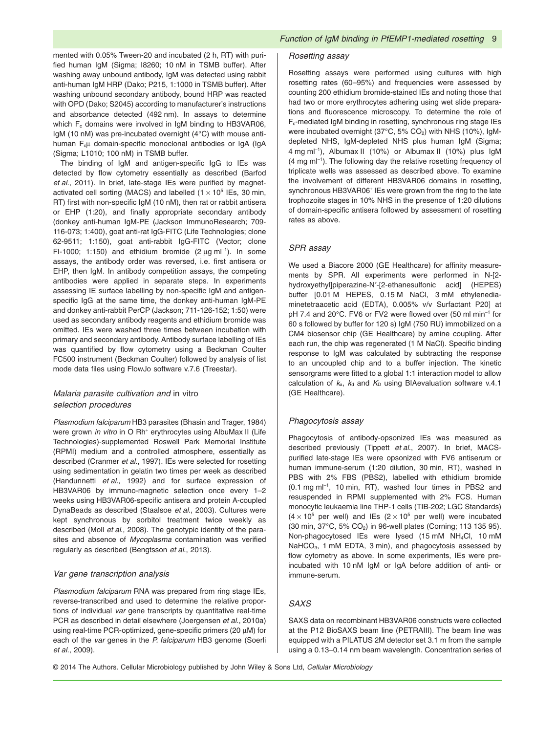mented with 0.05% Tween-20 and incubated (2 h, RT) with purified human IgM (Sigma; I8260; 10 nM in TSMB buffer). After washing away unbound antibody, IgM was detected using rabbit anti-human IgM HRP (Dako; P215, 1:1000 in TSMB buffer). After washing unbound secondary antibody, bound HRP was reacted with OPD (Dako; S2045) according to manufacturer's instructions and absorbance detected (492 nm). In assays to determine which  $F_c$  domains were involved in IgM binding to HB3VAR06, IgM (10 nM) was pre-incubated overnight (4°C) with mouse antihuman F<sub>c</sub>u domain-specific monoclonal antibodies or IgA (IgA (Sigma; L1010; 100 nM) in TSMB buffer.

The binding of IgM and antigen-specific IgG to IEs was detected by flow cytometry essentially as described (Barfod *et al*., 2011). In brief, late-stage IEs were purified by magnetactivated cell sorting (MACS) and labelled  $(1 \times 10^5$  IEs, 30 min, RT) first with non-specific IgM (10 nM), then rat or rabbit antisera or EHP (1:20), and finally appropriate secondary antibody (donkey anti-human IgM-PE (Jackson ImmunoResearch; 709- 116-073; 1:400), goat anti-rat IgG-FITC (Life Technologies; clone 62-9511; 1:150), goat anti-rabbit IgG-FITC (Vector; clone FI-1000; 1:150) and ethidium bromide (2  $\mu$ g ml<sup>-1</sup>). In some assays, the antibody order was reversed, i.e. first antisera or EHP, then IgM. In antibody competition assays, the competing antibodies were applied in separate steps. In experiments assessing IE surface labelling by non-specific IgM and antigenspecific IgG at the same time, the donkey anti-human IgM-PE and donkey anti-rabbit PerCP (Jackson; 711-126-152; 1:50) were used as secondary antibody reagents and ethidium bromide was omitted. IEs were washed three times between incubation with primary and secondary antibody. Antibody surface labelling of IEs was quantified by flow cytometry using a Beckman Coulter FC500 instrument (Beckman Coulter) followed by analysis of list mode data files using FlowJo software v.7.6 (Treestar).

## *Malaria parasite cultivation and* in vitro *selection procedures*

*Plasmodium falciparum* HB3 parasites (Bhasin and Trager, 1984) were grown *in vitro* in O Rh<sup>+</sup> erythrocytes using AlbuMax II (Life Technologies)-supplemented Roswell Park Memorial Institute (RPMI) medium and a controlled atmosphere, essentially as described (Cranmer *et al*., 1997). IEs were selected for rosetting using sedimentation in gelatin two times per week as described (Handunnetti *et al*., 1992) and for surface expression of HB3VAR06 by immuno-magnetic selection once every 1–2 weeks using HB3VAR06-specific antisera and protein A-coupled DynaBeads as described (Staalsoe *et al*., 2003). Cultures were kept synchronous by sorbitol treatment twice weekly as described (Moll *et al*., 2008). The genotypic identity of the parasites and absence of *Mycoplasma* contamination was verified regularly as described (Bengtsson *et al*., 2013).

## *Var gene transcription analysis*

*Plasmodium falciparum* RNA was prepared from ring stage IEs, reverse-transcribed and used to determine the relative proportions of individual *var* gene transcripts by quantitative real-time PCR as described in detail elsewhere (Joergensen *et al*., 2010a) using real-time PCR-optimized, gene-specific primers (20 μM) for each of the *var* genes in the *P. falciparum* HB3 genome (Soerli *et al*., 2009).

## *Rosetting assay*

Rosetting assays were performed using cultures with high rosetting rates (60–95%) and frequencies were assessed by counting 200 ethidium bromide-stained IEs and noting those that had two or more erythrocytes adhering using wet slide preparations and fluorescence microscopy. To determine the role of Fc-mediated IgM binding in rosetting, synchronous ring stage IEs were incubated overnight (37°C, 5% CO<sub>2</sub>) with NHS (10%), IgMdepleted NHS, IgM-depleted NHS plus human IgM (Sigma; 4 mg ml<sup>−</sup><sup>1</sup> ), Albumax II (10%) or Albumax II (10%) plus IgM (4 mg ml<sup>−</sup><sup>1</sup> ). The following day the relative rosetting frequency of triplicate wells was assessed as described above. To examine the involvement of different HB3VAR06 domains in rosetting, synchronous HB3VAR06<sup>+</sup> IEs were grown from the ring to the late trophozoite stages in 10% NHS in the presence of 1:20 dilutions of domain-specific antisera followed by assessment of rosetting rates as above.

#### *SPR assay*

We used a Biacore 2000 (GE Healthcare) for affinity measurements by SPR. All experiments were performed in N-[2 hydroxyethyl]piperazine-N′-[2-ethanesulfonic acid] (HEPES) buffer [0.01 M HEPES, 0.15 M NaCl, 3 mM ethylenediaminetetraacetic acid (EDTA), 0.005% v/v Surfactant P20] at pH 7.4 and 20°C. FV6 or FV2 were flowed over (50 ml min<sup>-1</sup> for 60 s followed by buffer for 120 s) IgM (750 RU) immobilized on a CM4 biosensor chip (GE Healthcare) by amine coupling. After each run, the chip was regenerated (1 M NaCl). Specific binding response to IgM was calculated by subtracting the response to an uncoupled chip and to a buffer injection. The kinetic sensorgrams were fitted to a global 1:1 interaction model to allow calculation of  $k_a$ ,  $k_d$  and  $K_D$  using BIAevaluation software v.4.1 (GE Healthcare).

#### *Phagocytosis assay*

Phagocytosis of antibody-opsonized IEs was measured as described previously (Tippett *et al*., 2007). In brief, MACSpurified late-stage IEs were opsonized with FV6 antiserum or human immune-serum (1:20 dilution, 30 min, RT), washed in PBS with 2% FBS (PBS2), labelled with ethidium bromide (0.1 mg ml<sup>−</sup><sup>1</sup> , 10 min, RT), washed four times in PBS2 and resuspended in RPMI supplemented with 2% FCS. Human monocytic leukaemia line THP-1 cells (TIB-202; LGC Standards)  $(4 \times 10^5$  per well) and IEs  $(2 \times 10^5$  per well) were incubated (30 min, 37°C, 5% CO2) in 96-well plates (Corning; 113 135 95). Non-phagocytosed IEs were lysed (15 mM NH4Cl, 10 mM NaHCO<sub>3</sub>, 1 mM EDTA, 3 min), and phagocytosis assessed by flow cytometry as above. In some experiments, IEs were preincubated with 10 nM IgM or IgA before addition of anti- or immune-serum.

## *SAXS*

SAXS data on recombinant HB3VAR06 constructs were collected at the P12 BioSAXS beam line (PETRAIII). The beam line was equipped with a PILATUS 2M detector set 3.1 m from the sample using a 0.13–0.14 nm beam wavelength. Concentration series of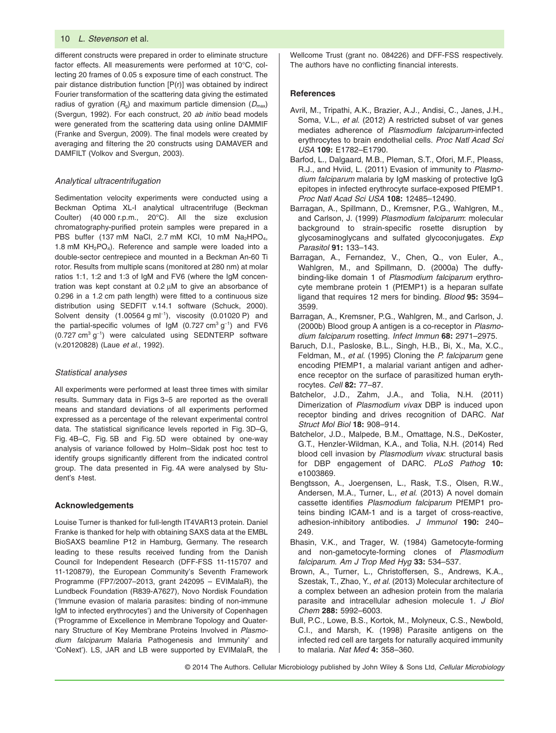different constructs were prepared in order to eliminate structure factor effects. All measurements were performed at 10°C, collecting 20 frames of 0.05 s exposure time of each construct. The pair distance distribution function [P(r)] was obtained by indirect Fourier transformation of the scattering data giving the estimated radius of gyration  $(R_0)$  and maximum particle dimension  $(D_{\text{max}})$ (Svergun, 1992). For each construct, 20 *ab initio* bead models were generated from the scattering data using online DAMMIF (Franke and Svergun, 2009). The final models were created by averaging and filtering the 20 constructs using DAMAVER and DAMFILT (Volkov and Svergun, 2003).

## *Analytical ultracentrifugation*

Sedimentation velocity experiments were conducted using a Beckman Optima XL-I analytical ultracentrifuge (Beckman Coulter) (40 000 r.p.m., 20°C). All the size exclusion chromatography-purified protein samples were prepared in a PBS buffer (137 mM NaCl, 2.7 mM KCl, 10 mM Na<sub>2</sub>HPO<sub>4</sub>, 1.8 mM  $KH<sub>2</sub>PO<sub>4</sub>$ ). Reference and sample were loaded into a double-sector centrepiece and mounted in a Beckman An-60 Ti rotor. Results from multiple scans (monitored at 280 nm) at molar ratios 1:1, 1:2 and 1:3 of IgM and FV6 (where the IgM concentration was kept constant at 0.2 μM to give an absorbance of 0.296 in a 1.2 cm path length) were fitted to a continuous size distribution using SEDFIT v.14.1 software (Schuck, 2000). Solvent density (1.00564 g ml<sup>−</sup><sup>1</sup> ), viscosity (0.01020 P) and the partial-specific volumes of IgM (0.727 cm<sup>3</sup> g<sup>-1</sup>) and FV6 (0.727 cm<sup>3</sup> g<sup>-1</sup>) were calculated using SEDNTERP software (v.20120828) (Laue *et al*., 1992).

#### *Statistical analyses*

All experiments were performed at least three times with similar results. Summary data in Figs 3–5 are reported as the overall means and standard deviations of all experiments performed expressed as a percentage of the relevant experimental control data. The statistical significance levels reported in Fig. 3D–G, Fig. 4B–C, Fig. 5B and Fig. 5D were obtained by one-way analysis of variance followed by Holm–Sidak post hoc test to identify groups significantly different from the indicated control group. The data presented in Fig. 4A were analysed by Student's *t*-test.

#### **Acknowledgements**

Louise Turner is thanked for full-length IT4VAR13 protein. Daniel Franke is thanked for help with obtaining SAXS data at the EMBL BioSAXS beamline P12 in Hamburg, Germany. The research leading to these results received funding from the Danish Council for Independent Research (DFF-FSS 11-115707 and 11-120879), the European Community's Seventh Framework Programme (FP7/2007–2013, grant 242095 – EVIMalaR), the Lundbeck Foundation (R839-A7627), Novo Nordisk Foundation ('Immune evasion of malaria parasites: binding of non-immune IgM to infected erythrocytes') and the University of Copenhagen ('Programme of Excellence in Membrane Topology and Quaternary Structure of Key Membrane Proteins Involved in *Plasmodium falciparum* Malaria Pathogenesis and Immunity' and 'CoNext'). LS, JAR and LB were supported by EVIMalaR, the

Wellcome Trust (grant no. 084226) and DFF-FSS respectively. The authors have no conflicting financial interests.

## **References**

- Avril, M., Tripathi, A.K., Brazier, A.J., Andisi, C., Janes, J.H., Soma, V.L., *et al*. (2012) A restricted subset of var genes mediates adherence of *Plasmodium falciparum*-infected erythrocytes to brain endothelial cells. *Proc Natl Acad Sci USA* **109:** E1782–E1790.
- Barfod, L., Dalgaard, M.B., Pleman, S.T., Ofori, M.F., Pleass, R.J., and Hviid, L. (2011) Evasion of immunity to *Plasmodium falciparum* malaria by IgM masking of protective IgG epitopes in infected erythrocyte surface-exposed PfEMP1. *Proc Natl Acad Sci USA* **108:** 12485–12490.
- Barragan, A., Spillmann, D., Kremsner, P.G., Wahlgren, M., and Carlson, J. (1999) *Plasmodium falciparum*: molecular background to strain-specific rosette disruption by glycosaminoglycans and sulfated glycoconjugates. *Exp Parasitol* **91:** 133–143.
- Barragan, A., Fernandez, V., Chen, Q., von Euler, A., Wahlgren, M., and Spillmann, D. (2000a) The duffybinding-like domain 1 of *Plasmodium falciparum* erythrocyte membrane protein 1 (PfEMP1) is a heparan sulfate ligand that requires 12 mers for binding. *Blood* **95:** 3594– 3599.
- Barragan, A., Kremsner, P.G., Wahlgren, M., and Carlson, J. (2000b) Blood group A antigen is a co-receptor in *Plasmodium falciparum* rosetting. *Infect Immun* **68:** 2971–2975.
- Baruch, D.I., Pasloske, B.L., Singh, H.B., Bi, X., Ma, X.C., Feldman, M., *et al*. (1995) Cloning the *P. falciparum* gene encoding PfEMP1, a malarial variant antigen and adherence receptor on the surface of parasitized human erythrocytes. *Cell* **82:** 77–87.
- Batchelor, J.D., Zahm, J.A., and Tolia, N.H. (2011) Dimerization of *Plasmodium vivax* DBP is induced upon receptor binding and drives recognition of DARC. *Nat Struct Mol Biol* **18:** 908–914.
- Batchelor, J.D., Malpede, B.M., Omattage, N.S., DeKoster, G.T., Henzler-Wildman, K.A., and Tolia, N.H. (2014) Red blood cell invasion by *Plasmodium vivax*: structural basis for DBP engagement of DARC. *PLoS Pathog* **10:** e1003869.
- Bengtsson, A., Joergensen, L., Rask, T.S., Olsen, R.W., Andersen, M.A., Turner, L., *et al*. (2013) A novel domain cassette identifies *Plasmodium falciparum* PfEMP1 proteins binding ICAM-1 and is a target of cross-reactive, adhesion-inhibitory antibodies. *J Immunol* **190:** 240– 249.
- Bhasin, V.K., and Trager, W. (1984) Gametocyte-forming and non-gametocyte-forming clones of *Plasmodium falciparum*. *Am J Trop Med Hyg* **33:** 534–537.
- Brown, A., Turner, L., Christoffersen, S., Andrews, K.A., Szestak, T., Zhao, Y., *et al*. (2013) Molecular architecture of a complex between an adhesion protein from the malaria parasite and intracellular adhesion molecule 1. *J Biol Chem* **288:** 5992–6003.
- Bull, P.C., Lowe, B.S., Kortok, M., Molyneux, C.S., Newbold, C.I., and Marsh, K. (1998) Parasite antigens on the infected red cell are targets for naturally acquired immunity to malaria. *Nat Med* **4:** 358–360.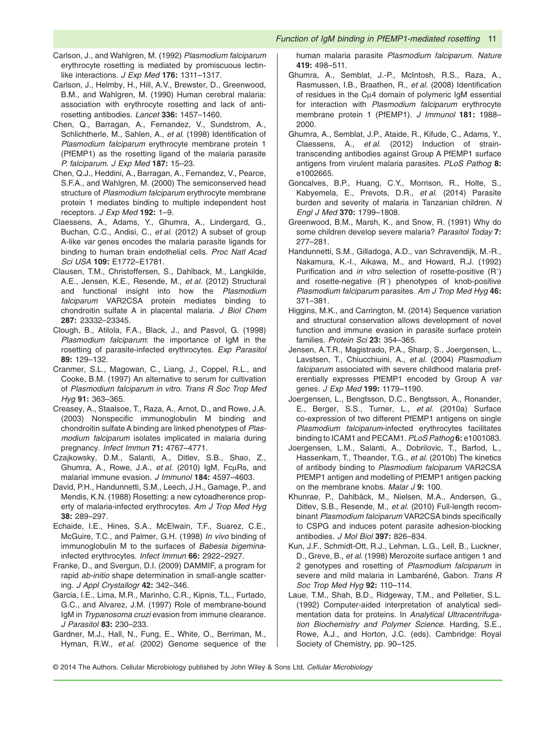- Carlson, J., and Wahlgren, M. (1992) *Plasmodium falciparum* erythrocyte rosetting is mediated by promiscuous lectinlike interactions. *J Exp Med* **176:** 1311–1317.
- Carlson, J., Helmby, H., Hill, A.V., Brewster, D., Greenwood, B.M., and Wahlgren, M. (1990) Human cerebral malaria: association with erythrocyte rosetting and lack of antirosetting antibodies. *Lancet* **336:** 1457–1460.
- Chen, Q., Barragan, A., Fernandez, V., Sundstrom, A., Schlichtherle, M., Sahlen, A., *et al*. (1998) Identification of *Plasmodium falciparum* erythrocyte membrane protein 1 (PfEMP1) as the rosetting ligand of the malaria parasite *P. falciparum*. *J Exp Med* **187:** 15–23.
- Chen, Q.J., Heddini, A., Barragan, A., Fernandez, V., Pearce, S.F.A., and Wahlgren, M. (2000) The semiconserved head structure of *Plasmodium falciparum* erythrocyte membrane protein 1 mediates binding to multiple independent host receptors. *J Exp Med* **192:** 1–9.
- Claessens, A., Adams, Y., Ghumra, A., Lindergard, G., Buchan, C.C., Andisi, C., *et al*. (2012) A subset of group A-like *var* genes encodes the malaria parasite ligands for binding to human brain endothelial cells. *Proc Natl Acad Sci USA* **109:** E1772–E1781.
- Clausen, T.M., Christoffersen, S., Dahlback, M., Langkilde, A.E., Jensen, K.E., Resende, M., *et al*. (2012) Structural and functional insight into how the *Plasmodium falciparum* VAR2CSA protein mediates binding to chondroitin sulfate A in placental malaria. *J Biol Chem* **287:** 23332–23345.
- Clough, B., Atilola, F.A., Black, J., and Pasvol, G. (1998) *Plasmodium falciparum*: the importance of IgM in the rosetting of parasite-infected erythrocytes. *Exp Parasitol* **89:** 129–132.
- Cranmer, S.L., Magowan, C., Liang, J., Coppel, R.L., and Cooke, B.M. (1997) An alternative to serum for cultivation of *Plasmodium falciparum in vitro*. *Trans R Soc Trop Med Hyg* **91:** 363–365.
- Creasey, A., Staalsoe, T., Raza, A., Arnot, D., and Rowe, J.A. (2003) Nonspecific immunoglobulin M binding and chondroitin sulfate A binding are linked phenotypes of *Plasmodium falciparum* isolates implicated in malaria during pregnancy. *Infect Immun* **71:** 4767–4771.
- Czajkowsky, D.M., Salanti, A., Ditlev, S.B., Shao, Z., Ghumra, A., Rowe, J.A., *et al*. (2010) IgM, FcμRs, and malarial immune evasion. *J Immunol* **184:** 4597–4603.
- David, P.H., Handunnetti, S.M., Leech, J.H., Gamage, P., and Mendis, K.N. (1988) Rosetting: a new cytoadherence property of malaria-infected erythrocytes. *Am J Trop Med Hyg* **38:** 289–297.
- Echaide, I.E., Hines, S.A., McElwain, T.F., Suarez, C.E., McGuire, T.C., and Palmer, G.H. (1998) *In vivo* binding of immunoglobulin M to the surfaces of *Babesia bigemina*infected erythrocytes. *Infect Immun* **66:** 2922–2927.
- Franke, D., and Svergun, D.I. (2009) DAMMIF, a program for rapid *ab-initio* shape determination in small-angle scattering. *J Appl Crystallogr* **42:** 342–346.
- Garcia, I.E., Lima, M.R., Marinho, C.R., Kipnis, T.L., Furtado, G.C., and Alvarez, J.M. (1997) Role of membrane-bound IgM in *Trypanosoma cruzi* evasion from immune clearance. *J Parasitol* **83:** 230–233.
- Gardner, M.J., Hall, N., Fung, E., White, O., Berriman, M., Hyman, R.W., *et al*. (2002) Genome sequence of the

human malaria parasite *Plasmodium falciparum*. *Nature* **419:** 498–511.

- Ghumra, A., Semblat, J.-P., McIntosh, R.S., Raza, A., Rasmussen, I.B., Braathen, R., *et al*. (2008) Identification of residues in the Cμ4 domain of polymeric IgM essential for interaction with *Plasmodium falciparum* erythrocyte membrane protein 1 (PfEMP1). *J Immunol* **181:** 1988– 2000.
- Ghumra, A., Semblat, J.P., Ataide, R., Kifude, C., Adams, Y., Claessens, A., *et al*. (2012) Induction of straintranscending antibodies against Group A PfEMP1 surface antigens from virulent malaria parasites. *PLoS Pathog* **8:** e1002665.
- Goncalves, B.P., Huang, C.Y., Morrison, R., Holte, S., Kabyemela, E., Prevots, D.R., *et al*. (2014) Parasite burden and severity of malaria in Tanzanian children. *N Engl J Med* **370:** 1799–1808.
- Greenwood, B.M., Marsh, K., and Snow, R. (1991) Why do some children develop severe malaria? *Parasitol Today* **7:** 277–281.
- Handunnetti, S.M., Gilladoga, A.D., van Schravendijk, M.-R., Nakamura, K.-I., Aikawa, M., and Howard, R.J. (1992) Purification and *in vitro* selection of rosette-positive (R<sup>+</sup>) and rosette-negative (R<sup>−</sup> ) phenotypes of knob-positive *Plasmodium falciparum* parasites. *Am J Trop Med Hyg* **46:** 371–381.
- Higgins, M.K., and Carrington, M. (2014) Sequence variation and structural conservation allows development of novel function and immune evasion in parasite surface protein families. *Protein Sci* **23:** 354–365.
- Jensen, A.T.R., Magistrado, P.A., Sharp, S., Joergensen, L., Lavstsen, T., Chiucchiuini, A., *et al*. (2004) *Plasmodium falciparum* associated with severe childhood malaria preferentially expresses PfEMP1 encoded by Group A *var* genes. *J Exp Med* **199:** 1179–1190.
- Joergensen, L., Bengtsson, D.C., Bengtsson, A., Ronander, E., Berger, S.S., Turner, L., *et al*. (2010a) Surface co-expression of two different PfEMP1 antigens on single *Plasmodium falciparum*-infected erythrocytes facilitates binding to ICAM1 and PECAM1. *PLoS Pathog* **6:** e1001083.
- Joergensen, L.M., Salanti, A., Dobrilovic, T., Barfod, L., Hassenkam, T., Theander, T.G., *et al*. (2010b) The kinetics of antibody binding to *Plasmodium falciparum* VAR2CSA PfEMP1 antigen and modelling of PfEMP1 antigen packing on the membrane knobs. *Malar J* **9:** 100.
- Khunrae, P., Dahlbäck, M., Nielsen, M.A., Andersen, G., Ditlev, S.B., Resende, M., *et al*. (2010) Full-length recombinant *Plasmodium falciparum* VAR2CSA binds specifically to CSPG and induces potent parasite adhesion-blocking antibodies. *J Mol Biol* **397:** 826–834.
- Kun, J.F., Schmidt-Ott, R.J., Lehman, L.G., Lell, B., Luckner, D., Greve, B., *et al*. (1998) Merozoite surface antigen 1 and 2 genotypes and rosetting of *Plasmodium falciparum* in severe and mild malaria in Lambaréné, Gabon. *Trans R Soc Trop Med Hyg* **92:** 110–114.
- Laue, T.M., Shah, B.D., Ridgeway, T.M., and Pelletier, S.L. (1992) Computer-aided interpretation of analytical sedimentation data for proteins. In *Analytical Ultracentrifugation Biochemistry and Polymer Science*. Harding, S.E., Rowe, A.J., and Horton, J.C. (eds). Cambridge: Royal Society of Chemistry, pp. 90–125.
- © 2014 The Authors. Cellular Microbiology published by John Wiley & Sons Ltd, *Cellular Microbiology*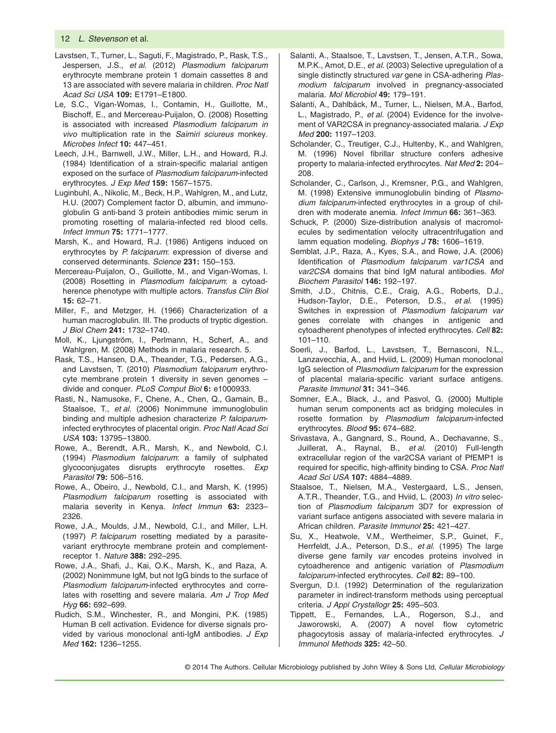- Lavstsen, T., Turner, L., Saguti, F., Magistrado, P., Rask, T.S., Jespersen, J.S., *et al*. (2012) *Plasmodium falciparum* erythrocyte membrane protein 1 domain cassettes 8 and 13 are associated with severe malaria in children. *Proc Natl Acad Sci USA* **109:** E1791–E1800.
- Le, S.C., Vigan-Womas, I., Contamin, H., Guillotte, M., Bischoff, E., and Mercereau-Puijalon, O. (2008) Rosetting is associated with increased *Plasmodium falciparum in vivo* multiplication rate in the *Saimiri sciureus* monkey. *Microbes Infect* **10:** 447–451.
- Leech, J.H., Barnwell, J.W., Miller, L.H., and Howard, R.J. (1984) Identification of a strain-specific malarial antigen exposed on the surface of *Plasmodium falciparum*-infected erythrocytes. *J Exp Med* **159:** 1567–1575.
- Luginbuhl, A., Nikolic, M., Beck, H.P., Wahlgren, M., and Lutz, H.U. (2007) Complement factor D, albumin, and immunoglobulin G anti-band 3 protein antibodies mimic serum in promoting rosetting of malaria-infected red blood cells. *Infect Immun* **75:** 1771–1777.
- Marsh, K., and Howard, R.J. (1986) Antigens induced on erythrocytes by *P. falciparum*: expression of diverse and conserved determinants. *Science* **231:** 150–153.
- Mercereau-Puijalon, O., Guillotte, M., and Vigan-Womas, I. (2008) Rosetting in *Plasmodium falciparum*: a cytoadherence phenotype with multiple actors. *Transfus Clin Biol* **15:** 62–71.
- Miller, F., and Metzger, H. (1966) Characterization of a human macroglobulin. III. The products of tryptic digestion. *J Biol Chem* **241:** 1732–1740.
- Moll, K., Ljungström, I., Perlmann, H., Scherf, A., and Wahlgren, M. (2008) Methods in malaria research. 5.
- Rask, T.S., Hansen, D.A., Theander, T.G., Pedersen, A.G., and Lavstsen, T. (2010) *Plasmodium falciparum* erythrocyte membrane protein 1 diversity in seven genomes – divide and conquer. *PLoS Comput Biol* **6:** e1000933.
- Rasti, N., Namusoke, F., Chene, A., Chen, Q., Gamain, B., Staalsoe, T., *et al*. (2006) Nonimmune immunoglobulin binding and multiple adhesion characterize *P. falciparum*infected erythrocytes of placental origin. *Proc Natl Acad Sci USA* **103:** 13795–13800.
- Rowe, A., Berendt, A.R., Marsh, K., and Newbold, C.I. (1994) *Plasmodium falciparum*: a family of sulphated glycoconjugates disrupts erythrocyte rosettes. *Exp Parasitol* **79:** 506–516.
- Rowe, A., Obeiro, J., Newbold, C.I., and Marsh, K. (1995) *Plasmodium falciparum* rosetting is associated with malaria severity in Kenya. *Infect Immun* **63:** 2323– 2326.
- Rowe, J.A., Moulds, J.M., Newbold, C.I., and Miller, L.H. (1997) *P. falciparum* rosetting mediated by a parasitevariant erythrocyte membrane protein and complementreceptor 1. *Nature* **388:** 292–295.
- Rowe, J.A., Shafi, J., Kai, O.K., Marsh, K., and Raza, A. (2002) Nonimmune IgM, but not IgG binds to the surface of *Plasmodium falciparum*-infected erythrocytes and correlates with rosetting and severe malaria. *Am J Trop Med Hyg* **66:** 692–699.
- Rudich, S.M., Winchester, R., and Mongini, P.K. (1985) Human B cell activation. Evidence for diverse signals provided by various monoclonal anti-IgM antibodies. *J Exp Med* **162:** 1236–1255.
- Salanti, A., Staalsoe, T., Lavstsen, T., Jensen, A.T.R., Sowa, M.P.K., Arnot, D.E., *et al*. (2003) Selective upregulation of a single distinctly structured *var* gene in CSA-adhering *Plasmodium falciparum* involved in pregnancy-associated malaria. *Mol Microbiol* **49:** 179–191.
- Salanti, A., Dahlbäck, M., Turner, L., Nielsen, M.A., Barfod, L., Magistrado, P., *et al*. (2004) Evidence for the involvement of VAR2CSA in pregnancy-associated malaria. *J Exp Med* **200:** 1197–1203.
- Scholander, C., Treutiger, C.J., Hultenby, K., and Wahlgren, M. (1996) Novel fibrillar structure confers adhesive property to malaria-infected erythrocytes. *Nat Med* **2:** 204– 208.
- Scholander, C., Carlson, J., Kremsner, P.G., and Wahlgren, M. (1998) Extensive immunoglobulin binding of *Plasmodium falciparum*-infected erythrocytes in a group of children with moderate anemia. *Infect Immun* **66:** 361–363.
- Schuck, P. (2000) Size-distribution analysis of macromolecules by sedimentation velocity ultracentrifugation and lamm equation modeling. *Biophys J* **78:** 1606–1619.
- Semblat, J.P., Raza, A., Kyes, S.A., and Rowe, J.A. (2006) Identification of *Plasmodium falciparum var1CSA* and *var2CSA* domains that bind IgM natural antibodies. *Mol Biochem Parasitol* **146:** 192–197.
- Smith, J.D., Chitnis, C.E., Craig, A.G., Roberts, D.J., Hudson-Taylor, D.E., Peterson, D.S., *et al*. (1995) Switches in expression of *Plasmodium falciparum var* genes correlate with changes in antigenic and cytoadherent phenotypes of infected erythrocytes. *Cell* **82:** 101–110.
- Soerli, J., Barfod, L., Lavstsen, T., Bernasconi, N.L., Lanzavecchia, A., and Hviid, L. (2009) Human monoclonal IgG selection of *Plasmodium falciparum* for the expression of placental malaria-specific variant surface antigens. *Parasite Immunol* **31:** 341–346.
- Somner, E.A., Black, J., and Pasvol, G. (2000) Multiple human serum components act as bridging molecules in rosette formation by *Plasmodium falciparum*-infected erythrocytes. *Blood* **95:** 674–682.
- Srivastava, A., Gangnard, S., Round, A., Dechavanne, S., Juillerat, A., Raynal, B., *et al*. (2010) Full-length extracellular region of the var2CSA variant of PfEMP1 is required for specific, high-affinity binding to CSA. *Proc Natl Acad Sci USA* **107:** 4884–4889.
- Staalsoe, T., Nielsen, M.A., Vestergaard, L.S., Jensen, A.T.R., Theander, T.G., and Hviid, L. (2003) *In vitro* selection of *Plasmodium falciparum* 3D7 for expression of variant surface antigens associated with severe malaria in African children. *Parasite Immunol* **25:** 421–427.
- Su, X., Heatwole, V.M., Wertheimer, S.P., Guinet, F., Herrfeldt, J.A., Peterson, D.S., *et al*. (1995) The large diverse gene family *var* encodes proteins involved in cytoadherence and antigenic variation of *Plasmodium falciparum*-infected erythrocytes. *Cell* **82:** 89–100.
- Svergun, D.I. (1992) Determination of the regularization parameter in indirect-transform methods using perceptual criteria. *J Appl Crystallogr* **25:** 495–503.
- Tippett, E., Fernandes, L.A., Rogerson, S.J., and Jaworowski, A. (2007) A novel flow cytometric phagocytosis assay of malaria-infected erythrocytes. *J Immunol Methods* **325:** 42–50.